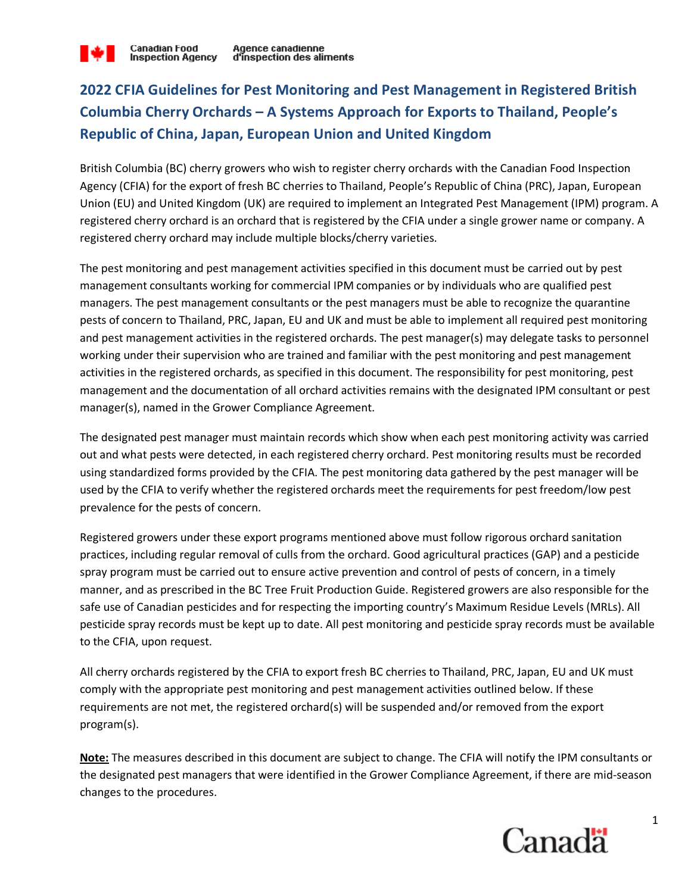# **2022 CFIA Guidelines for Pest Monitoring and Pest Management in Registered British Columbia Cherry Orchards – A Systems Approach for Exports to Thailand, People's Republic of China, Japan, European Union and United Kingdom**

British Columbia (BC) cherry growers who wish to register cherry orchards with the Canadian Food Inspection Agency (CFIA) for the export of fresh BC cherries to Thailand, People's Republic of China (PRC), Japan, European Union (EU) and United Kingdom (UK) are required to implement an Integrated Pest Management (IPM) program. A registered cherry orchard is an orchard that is registered by the CFIA under a single grower name or company. A registered cherry orchard may include multiple blocks/cherry varieties.

The pest monitoring and pest management activities specified in this document must be carried out by pest management consultants working for commercial IPM companies or by individuals who are qualified pest managers. The pest management consultants or the pest managers must be able to recognize the quarantine pests of concern to Thailand, PRC, Japan, EU and UK and must be able to implement all required pest monitoring and pest management activities in the registered orchards. The pest manager(s) may delegate tasks to personnel working under their supervision who are trained and familiar with the pest monitoring and pest management activities in the registered orchards, as specified in this document. The responsibility for pest monitoring, pest management and the documentation of all orchard activities remains with the designated IPM consultant or pest manager(s), named in the Grower Compliance Agreement.

The designated pest manager must maintain records which show when each pest monitoring activity was carried out and what pests were detected, in each registered cherry orchard. Pest monitoring results must be recorded using standardized forms provided by the CFIA. The pest monitoring data gathered by the pest manager will be used by the CFIA to verify whether the registered orchards meet the requirements for pest freedom/low pest prevalence for the pests of concern.

Registered growers under these export programs mentioned above must follow rigorous orchard sanitation practices, including regular removal of culls from the orchard. Good agricultural practices (GAP) and a pesticide spray program must be carried out to ensure active prevention and control of pests of concern, in a timely manner, and as prescribed in the BC Tree Fruit Production Guide. Registered growers are also responsible for the safe use of Canadian pesticides and for respecting the importing country's Maximum Residue Levels (MRLs). All pesticide spray records must be kept up to date. All pest monitoring and pesticide spray records must be available to the CFIA, upon request.

All cherry orchards registered by the CFIA to export fresh BC cherries to Thailand, PRC, Japan, EU and UK must comply with the appropriate pest monitoring and pest management activities outlined below. If these requirements are not met, the registered orchard(s) will be suspended and/or removed from the export program(s).

**Note:** The measures described in this document are subject to change. The CFIA will notify the IPM consultants or the designated pest managers that were identified in the Grower Compliance Agreement, if there are mid-season changes to the procedures.

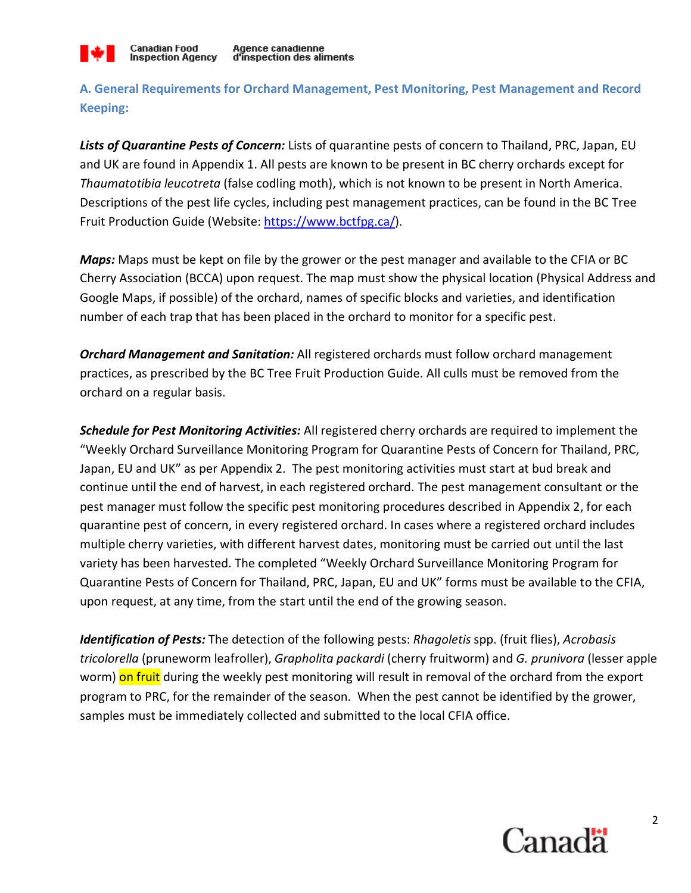

**A. General Requirements for Orchard Management, Pest Monitoring, Pest Management and Record Keeping:**

*Lists of Quarantine Pests of Concern:* Lists of quarantine pests of concern to Thailand, PRC, Japan, EU and UK are found in Appendix 1. All pests are known to be present in BC cherry orchards except for *Thaumatotibia leucotreta* (false codling moth), which is not known to be present in North America. Descriptions of the pest life cycles, including pest management practices, can be found in the BC Tree Fruit Production Guide (Website: https://www.bctfpg.ca/).

*Maps:* Maps must be kept on file by the grower or the pest manager and available to the CFIA or BC Cherry Association (BCCA) upon request. The map must show the physical location (Physical Address and Google Maps, if possible) of the orchard, names of specific blocks and varieties, and identification number of each trap that has been placed in the orchard to monitor for a specific pest.

*Orchard Management and Sanitation:* All registered orchards must follow orchard management practices, as prescribed by the BC Tree Fruit Production Guide. All culls must be removed from the orchard on a regular basis.

*Schedule for Pest Monitoring Activities:* All registered cherry orchards are required to implement the "Weekly Orchard Surveillance Monitoring Program for Quarantine Pests of Concern for Thailand, PRC, Japan, EU and UK" as per Appendix 2. The pest monitoring activities must start at bud break and continue until the end of harvest, in each registered orchard. The pest management consultant or the pest manager must follow the specific pest monitoring procedures described in Appendix 2, for each quarantine pest of concern, in every registered orchard. In cases where a registered orchard includes multiple cherry varieties, with different harvest dates, monitoring must be carried out until the last variety has been harvested. The completed "Weekly Orchard Surveillance Monitoring Program for Quarantine Pests of Concern for Thailand, PRC, Japan, EU and UK" forms must be available to the CFIA, upon request, at any time, from the start until the end of the growing season.

*Identification of Pests:* The detection of the following pests: *Rhagoletis* spp. (fruit flies), *Acrobasis tricolorella* (pruneworm leafroller), *Grapholita packardi* (cherry fruitworm) and *G. prunivora* (lesser apple worm) on fruit during the weekly pest monitoring will result in removal of the orchard from the export program to PRC, for the remainder of the season. When the pest cannot be identified by the grower, samples must be immediately collected and submitted to the local CFIA office.

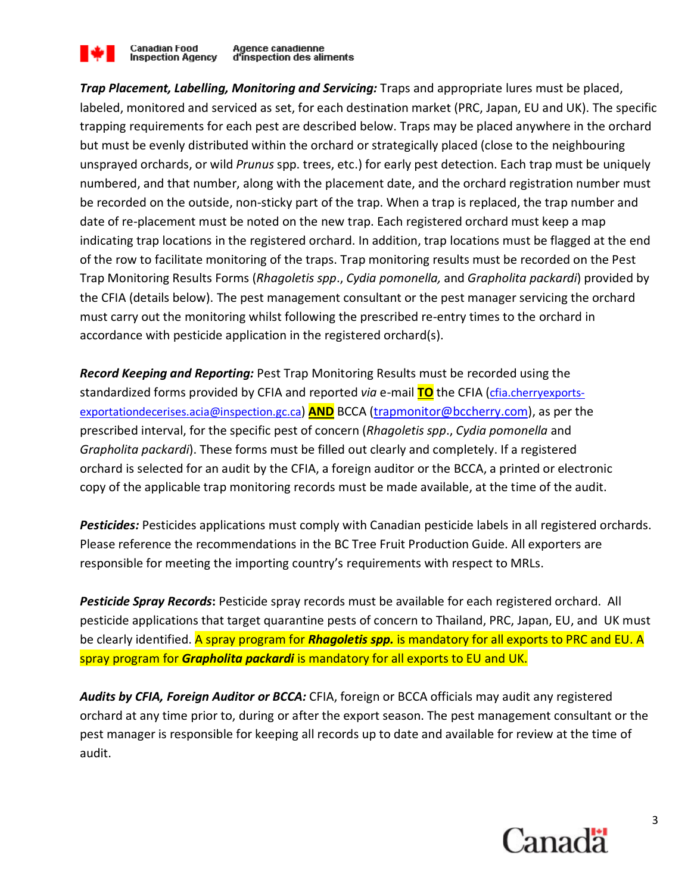

*Trap Placement, Labelling, Monitoring and Servicing:* Traps and appropriate lures must be placed, labeled, monitored and serviced as set, for each destination market (PRC, Japan, EU and UK). The specific trapping requirements for each pest are described below. Traps may be placed anywhere in the orchard but must be evenly distributed within the orchard or strategically placed (close to the neighbouring unsprayed orchards, or wild *Prunus* spp. trees, etc.) for early pest detection. Each trap must be uniquely numbered, and that number, along with the placement date, and the orchard registration number must be recorded on the outside, non-sticky part of the trap. When a trap is replaced, the trap number and date of re-placement must be noted on the new trap. Each registered orchard must keep a map indicating trap locations in the registered orchard. In addition, trap locations must be flagged at the end of the row to facilitate monitoring of the traps. Trap monitoring results must be recorded on the Pest Trap Monitoring Results Forms (*Rhagoletis spp*., *Cydia pomonella,* and *Grapholita packardi*) provided by the CFIA (details below). The pest management consultant or the pest manager servicing the orchard must carry out the monitoring whilst following the prescribed re-entry times to the orchard in accordance with pesticide application in the registered orchard(s).

*Record Keeping and Reporting:* Pest Trap Monitoring Results must be recorded using the standardized forms provided by CFIA and reported *via* e-mail **TO** the CFIA (cfia.cherryexportsexportationdecerises.acia@inspection.gc.ca) **AND** BCCA (trapmonitor@bccherry.com), as per the prescribed interval, for the specific pest of concern (*Rhagoletis spp*., *Cydia pomonella* and *Grapholita packardi*). These forms must be filled out clearly and completely. If a registered orchard is selected for an audit by the CFIA, a foreign auditor or the BCCA, a printed or electronic copy of the applicable trap monitoring records must be made available, at the time of the audit.

*Pesticides:* Pesticides applications must comply with Canadian pesticide labels in all registered orchards. Please reference the recommendations in the BC Tree Fruit Production Guide. All exporters are responsible for meeting the importing country's requirements with respect to MRLs.

*Pesticide Spray Records***:** Pesticide spray records must be available for each registered orchard. All pesticide applications that target quarantine pests of concern to Thailand, PRC, Japan, EU, and UK must be clearly identified. A spray program for *Rhagoletis spp.* is mandatory for all exports to PRC and EU. A spray program for *Grapholita packardi* is mandatory for all exports to EU and UK.

*Audits by CFIA, Foreign Auditor or BCCA:* CFIA, foreign or BCCA officials may audit any registered orchard at any time prior to, during or after the export season. The pest management consultant or the pest manager is responsible for keeping all records up to date and available for review at the time of audit.

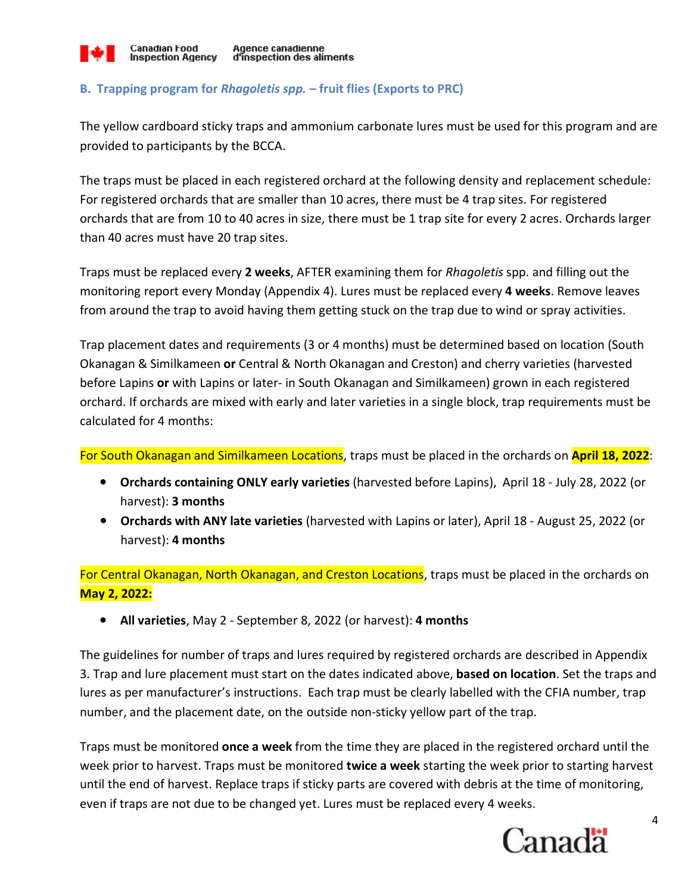

#### **Agence canadienne** d'inspection des aliments

### **B. Trapping program for** *Rhagoletis spp.* **– fruit flies (Exports to PRC)**

The yellow cardboard sticky traps and ammonium carbonate lures must be used for this program and are provided to participants by the BCCA.

The traps must be placed in each registered orchard at the following density and replacement schedule: For registered orchards that are smaller than 10 acres, there must be 4 trap sites. For registered orchards that are from 10 to 40 acres in size, there must be 1 trap site for every 2 acres. Orchards larger than 40 acres must have 20 trap sites.

Traps must be replaced every **2 weeks**, AFTER examining them for *Rhagoletis* spp. and filling out the monitoring report every Monday (Appendix 4). Lures must be replaced every **4 weeks**. Remove leaves from around the trap to avoid having them getting stuck on the trap due to wind or spray activities.

Trap placement dates and requirements (3 or 4 months) must be determined based on location (South Okanagan & Similkameen **or** Central & North Okanagan and Creston) and cherry varieties (harvested before Lapins **or** with Lapins or later- in South Okanagan and Similkameen) grown in each registered orchard. If orchards are mixed with early and later varieties in a single block, trap requirements must be calculated for 4 months:

For South Okanagan and Similkameen Locations, traps must be placed in the orchards on **April 18, 2022**:

- **Orchards containing ONLY early varieties** (harvested before Lapins), April 18 July 28, 2022 (or harvest): **3 months**
- **Orchards with ANY late varieties** (harvested with Lapins or later), April 18 August 25, 2022 (or harvest): **4 months**

For Central Okanagan, North Okanagan, and Creston Locations, traps must be placed in the orchards on **May 2, 2022:** 

• **All varieties**, May 2 - September 8, 2022 (or harvest): **4 months**

The guidelines for number of traps and lures required by registered orchards are described in Appendix 3. Trap and lure placement must start on the dates indicated above, **based on location**. Set the traps and lures as per manufacturer's instructions. Each trap must be clearly labelled with the CFIA number, trap number, and the placement date, on the outside non-sticky yellow part of the trap.

Traps must be monitored **once a week** from the time they are placed in the registered orchard until the week prior to harvest. Traps must be monitored **twice a week** starting the week prior to starting harvest until the end of harvest. Replace traps if sticky parts are covered with debris at the time of monitoring, even if traps are not due to be changed yet. Lures must be replaced every 4 weeks.

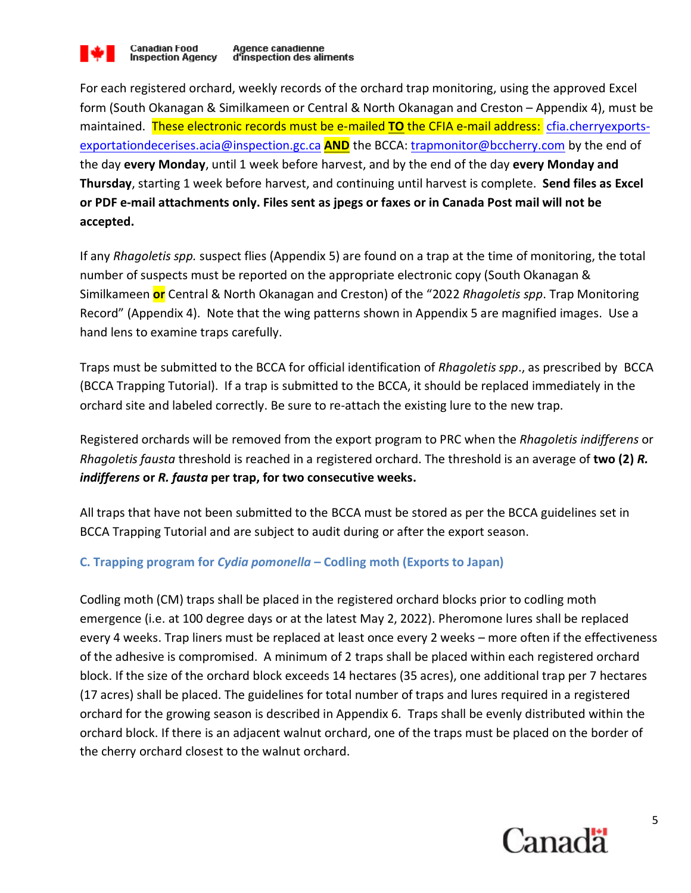

For each registered orchard, weekly records of the orchard trap monitoring, using the approved Excel form (South Okanagan & Similkameen or Central & North Okanagan and Creston – Appendix 4), must be maintained. These electronic records must be e-mailed **TO** the CFIA e-mail address: cfia.cherryexportsexportationdecerises.acia@inspection.gc.ca **AND** the BCCA: trapmonitor@bccherry.com by the end of the day **every Monday**, until 1 week before harvest, and by the end of the day **every Monday and Thursday**, starting 1 week before harvest, and continuing until harvest is complete. **Send files as Excel or PDF e-mail attachments only. Files sent as jpegs or faxes or in Canada Post mail will not be accepted.** 

If any *Rhagoletis spp.* suspect flies (Appendix 5) are found on a trap at the time of monitoring, the total number of suspects must be reported on the appropriate electronic copy (South Okanagan & Similkameen **or** Central & North Okanagan and Creston) of the "2022 *Rhagoletis spp*. Trap Monitoring Record" (Appendix 4). Note that the wing patterns shown in Appendix 5 are magnified images. Use a hand lens to examine traps carefully.

Traps must be submitted to the BCCA for official identification of *Rhagoletis spp*., as prescribed by BCCA (BCCA Trapping Tutorial). If a trap is submitted to the BCCA, it should be replaced immediately in the orchard site and labeled correctly. Be sure to re-attach the existing lure to the new trap.

Registered orchards will be removed from the export program to PRC when the *Rhagoletis indifferens* or *Rhagoletis fausta* threshold is reached in a registered orchard. The threshold is an average of **two (2)** *R. indifferens* **or** *R. fausta* **per trap, for two consecutive weeks.**

All traps that have not been submitted to the BCCA must be stored as per the BCCA guidelines set in BCCA Trapping Tutorial and are subject to audit during or after the export season.

### **C. Trapping program for** *Cydia pomonella* **– Codling moth (Exports to Japan)**

Codling moth (CM) traps shall be placed in the registered orchard blocks prior to codling moth emergence (i.e. at 100 degree days or at the latest May 2, 2022). Pheromone lures shall be replaced every 4 weeks. Trap liners must be replaced at least once every 2 weeks – more often if the effectiveness of the adhesive is compromised. A minimum of 2 traps shall be placed within each registered orchard block. If the size of the orchard block exceeds 14 hectares (35 acres), one additional trap per 7 hectares (17 acres) shall be placed. The guidelines for total number of traps and lures required in a registered orchard for the growing season is described in Appendix 6. Traps shall be evenly distributed within the orchard block. If there is an adjacent walnut orchard, one of the traps must be placed on the border of the cherry orchard closest to the walnut orchard.

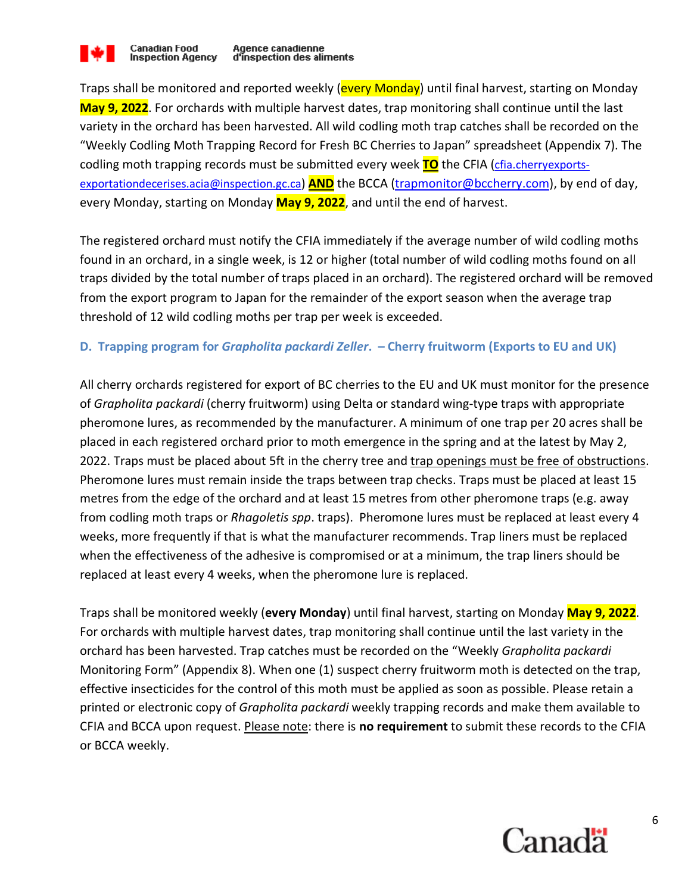

Traps shall be monitored and reported weekly (**every Monday**) until final harvest, starting on Monday **May 9, 2022**. For orchards with multiple harvest dates, trap monitoring shall continue until the last variety in the orchard has been harvested. All wild codling moth trap catches shall be recorded on the "Weekly Codling Moth Trapping Record for Fresh BC Cherries to Japan" spreadsheet (Appendix 7). The codling moth trapping records must be submitted every week **TO** the CFIA (cfia.cherryexportsexportationdecerises.acia@inspection.gc.ca) **AND** the BCCA (trapmonitor@bccherry.com), by end of day, every Monday, starting on Monday **May 9, 2022**, and until the end of harvest.

The registered orchard must notify the CFIA immediately if the average number of wild codling moths found in an orchard, in a single week, is 12 or higher (total number of wild codling moths found on all traps divided by the total number of traps placed in an orchard). The registered orchard will be removed from the export program to Japan for the remainder of the export season when the average trap threshold of 12 wild codling moths per trap per week is exceeded.

#### **D. Trapping program for** *Grapholita packardi Zeller***. – Cherry fruitworm (Exports to EU and UK)**

All cherry orchards registered for export of BC cherries to the EU and UK must monitor for the presence of *Grapholita packardi* (cherry fruitworm) using Delta or standard wing-type traps with appropriate pheromone lures, as recommended by the manufacturer. A minimum of one trap per 20 acres shall be placed in each registered orchard prior to moth emergence in the spring and at the latest by May 2, 2022. Traps must be placed about 5ft in the cherry tree and trap openings must be free of obstructions. Pheromone lures must remain inside the traps between trap checks. Traps must be placed at least 15 metres from the edge of the orchard and at least 15 metres from other pheromone traps (e.g. away from codling moth traps or *Rhagoletis spp*. traps). Pheromone lures must be replaced at least every 4 weeks, more frequently if that is what the manufacturer recommends. Trap liners must be replaced when the effectiveness of the adhesive is compromised or at a minimum, the trap liners should be replaced at least every 4 weeks, when the pheromone lure is replaced.

Traps shall be monitored weekly (**every Monday**) until final harvest, starting on Monday **May 9, 2022**. For orchards with multiple harvest dates, trap monitoring shall continue until the last variety in the orchard has been harvested. Trap catches must be recorded on the "Weekly *Grapholita packardi* Monitoring Form" (Appendix 8). When one (1) suspect cherry fruitworm moth is detected on the trap, effective insecticides for the control of this moth must be applied as soon as possible. Please retain a printed or electronic copy of *Grapholita packardi* weekly trapping records and make them available to CFIA and BCCA upon request. Please note: there is **no requirement** to submit these records to the CFIA or BCCA weekly.

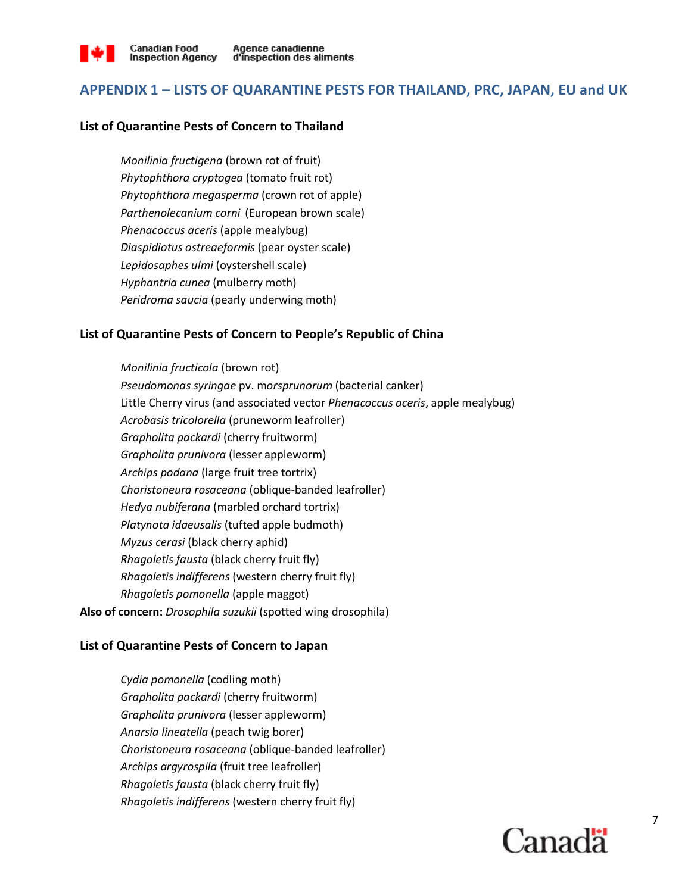

### **APPENDIX 1 – LISTS OF QUARANTINE PESTS FOR THAILAND, PRC, JAPAN, EU and UK**

#### **List of Quarantine Pests of Concern to Thailand**

*Monilinia fructigena* (brown rot of fruit) *Phytophthora cryptogea* (tomato fruit rot) *Phytophthora megasperma* (crown rot of apple) *Parthenolecanium corni* (European brown scale) *Phenacoccus aceris* (apple mealybug) *Diaspidiotus ostreaeformis* (pear oyster scale) *Lepidosaphes ulmi* (oystershell scale) *Hyphantria cunea* (mulberry moth) *Peridroma saucia* (pearly underwing moth)

#### **List of Quarantine Pests of Concern to People's Republic of China**

*Monilinia fructicola* (brown rot) *Pseudomonas syringae* pv. m*orsprunorum* (bacterial canker) Little Cherry virus (and associated vector *Phenacoccus aceris*, apple mealybug) *Acrobasis tricolorella* (pruneworm leafroller) *Grapholita packardi* (cherry fruitworm) *Grapholita prunivora* (lesser appleworm) *Archips podana* (large fruit tree tortrix) *Choristoneura rosaceana* (oblique-banded leafroller) *Hedya nubiferana* (marbled orchard tortrix) *Platynota idaeusalis* (tufted apple budmoth) *Myzus cerasi* (black cherry aphid) *Rhagoletis fausta* (black cherry fruit fly) *Rhagoletis indifferens* (western cherry fruit fly) *Rhagoletis pomonella* (apple maggot) **Also of concern:** *Drosophila suzukii* (spotted wing drosophila)

#### **List of Quarantine Pests of Concern to Japan**

*Cydia pomonella* (codling moth) *Grapholita packardi* (cherry fruitworm) *Grapholita prunivora* (lesser appleworm) *Anarsia lineatella* (peach twig borer) *Choristoneura rosaceana* (oblique-banded leafroller) *Archips argyrospila* (fruit tree leafroller) *Rhagoletis fausta* (black cherry fruit fly) *Rhagoletis indifferens* (western cherry fruit fly)

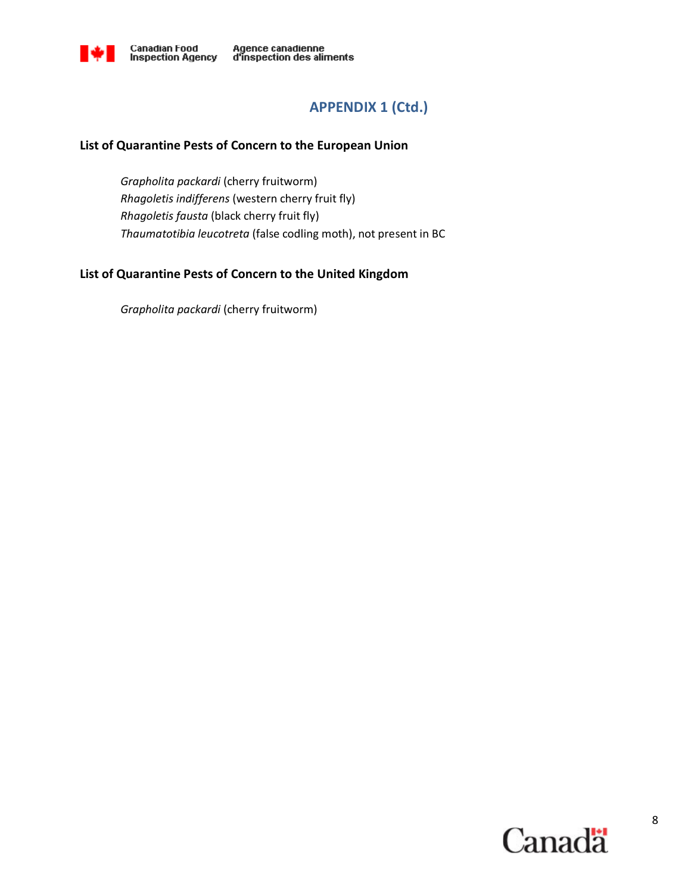

### **APPENDIX 1 (Ctd.)**

#### **List of Quarantine Pests of Concern to the European Union**

*Grapholita packardi* (cherry fruitworm) *Rhagoletis indifferens* (western cherry fruit fly) *Rhagoletis fausta* (black cherry fruit fly) *Thaumatotibia leucotreta* (false codling moth), not present in BC

### **List of Quarantine Pests of Concern to the United Kingdom**

*Grapholita packardi* (cherry fruitworm)

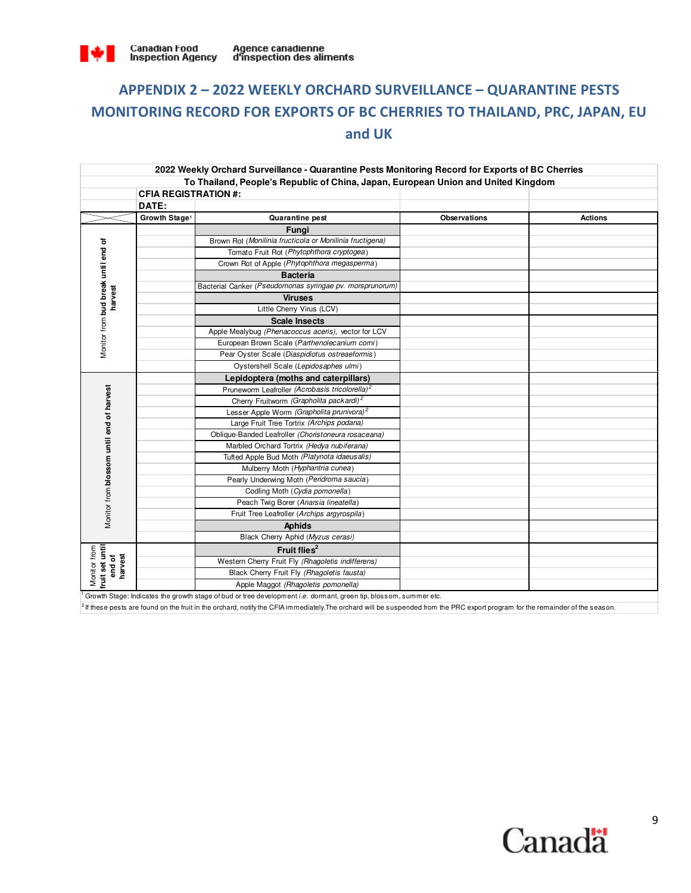

# **APPENDIX 2 – 2022 WEEKLY ORCHARD SURVEILLANCE – QUARANTINE PESTS MONITORING RECORD FOR EXPORTS OF BC CHERRIES TO THAILAND, PRC, JAPAN, EU and UK**

|                                           |                             | 2022 Weekly Orchard Surveillance - Quarantine Pests Monitoring Record for Exports of BC Cherries                               |                     |                |
|-------------------------------------------|-----------------------------|--------------------------------------------------------------------------------------------------------------------------------|---------------------|----------------|
|                                           |                             | To Thailand, People's Republic of China, Japan, European Union and United Kingdom                                              |                     |                |
|                                           | <b>CFIA REGISTRATION #:</b> |                                                                                                                                |                     |                |
|                                           | DATE:                       |                                                                                                                                |                     |                |
|                                           | Growth Stage <sup>1</sup>   | Quarantine pest                                                                                                                | <b>Observations</b> | <b>Actions</b> |
|                                           |                             | <b>Funai</b>                                                                                                                   |                     |                |
| Monitor from bud break until end of       |                             | Brown Rot (Monilinia fructicola or Monilinia fructigena)                                                                       |                     |                |
|                                           |                             | Tomato Fruit Rot (Phytophthora cryptogea)                                                                                      |                     |                |
|                                           |                             | Crown Rot of Apple (Phytophthora megasperma)                                                                                   |                     |                |
|                                           |                             | <b>Bacteria</b>                                                                                                                |                     |                |
|                                           |                             | Bacterial Canker (Pseudomonas syringae pv. morsprunorum)                                                                       |                     |                |
| harvest                                   |                             | <b>Viruses</b>                                                                                                                 |                     |                |
|                                           |                             | Little Cherry Virus (LCV)                                                                                                      |                     |                |
|                                           |                             | <b>Scale Insects</b>                                                                                                           |                     |                |
|                                           |                             | Apple Mealybug (Phenacoccus aceris), vector for LCV                                                                            |                     |                |
|                                           |                             | European Brown Scale (Parthenolecanium corni)                                                                                  |                     |                |
|                                           |                             | Pear Oyster Scale (Diaspidiotus ostreaeformis)                                                                                 |                     |                |
|                                           |                             | Oystershell Scale (Lepidosaphes ulmi)                                                                                          |                     |                |
|                                           |                             | Lepidoptera (moths and caterpillars)                                                                                           |                     |                |
|                                           |                             | Pruneworm Leafroller (Acrobasis tricolorella) <sup>2</sup>                                                                     |                     |                |
|                                           |                             | Cherry Fruitworm (Grapholita packardi) <sup>2</sup>                                                                            |                     |                |
|                                           |                             | Lesser Apple Worm (Grapholita prunivora) <sup>2</sup>                                                                          |                     |                |
|                                           |                             | Large Fruit Tree Tortrix (Archips podana)                                                                                      |                     |                |
|                                           |                             | Oblique-Banded Leafroller (Choristoneura rosaceana)                                                                            |                     |                |
|                                           |                             | Marbled Orchard Tortrix (Hedya nubiferana)                                                                                     |                     |                |
|                                           |                             | Tufted Apple Bud Moth (Platynota idaeusalis)                                                                                   |                     |                |
|                                           |                             | Mulberry Moth (Hyphantria cunea)                                                                                               |                     |                |
|                                           |                             | Pearly Underwing Moth (Peridroma saucia)                                                                                       |                     |                |
|                                           |                             | Codling Moth (Cydia pomonella)                                                                                                 |                     |                |
|                                           |                             | Peach Twig Borer (Anarsia lineatella)                                                                                          |                     |                |
| Monitor from blossom until end of harvest |                             | Fruit Tree Leafroller (Archips argyrospila)                                                                                    |                     |                |
|                                           |                             | <b>Aphids</b>                                                                                                                  |                     |                |
|                                           |                             | Black Cherry Aphid (Myzus cerasi)                                                                                              |                     |                |
| Monitor from<br>fruit set until           |                             | Fruit flies <sup>2</sup>                                                                                                       |                     |                |
| end of<br>harvest                         |                             | Western Cherry Fruit Fly (Rhagoletis indifferens)                                                                              |                     |                |
|                                           |                             | Black Cherry Fruit Fly (Rhagoletis fausta)                                                                                     |                     |                |
|                                           |                             | Apple Maggot (Rhagoletis pomonella)                                                                                            |                     |                |
|                                           |                             | $\alpha$ Growth Stage: Indicates the growth stage of bud or tree development <i>i.e.</i> dormant green tip blossom summer etc. |                     |                |

Growth Stage: Indicates the growth stage of bud or tree development *i.e.* dormant, green tip, blossom, summer etc.

 ${}^{2}$  If these pests are found on the fruit in the orchard, notify the CFIA immediately. The orchard will be suspended from the PRC export program for the remainder of the season.

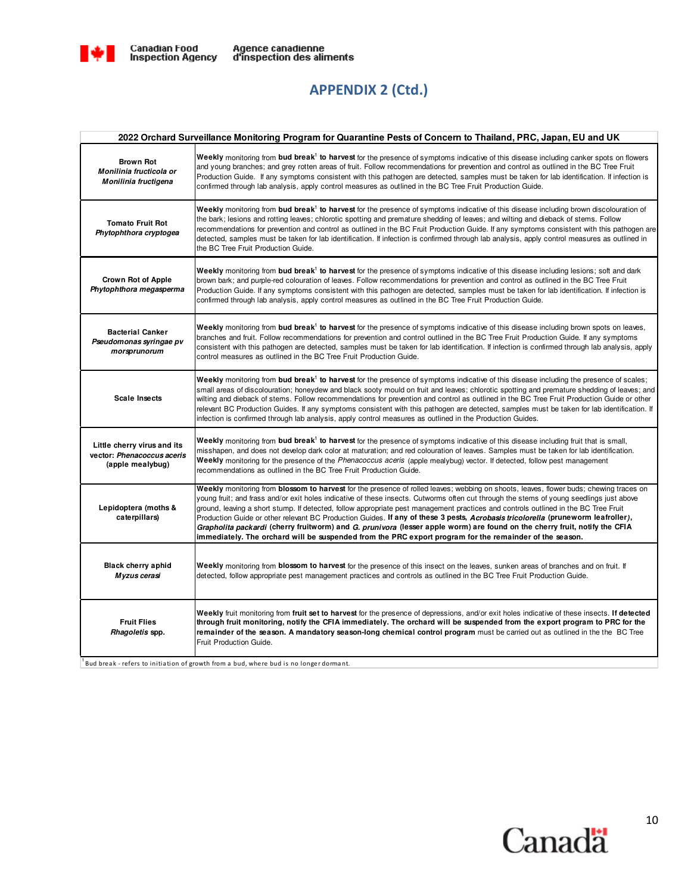

### **APPENDIX 2 (Ctd.)**

|                                                                               | 2022 Orchard Surveillance Monitoring Program for Quarantine Pests of Concern to Thailand, PRC, Japan, EU and UK                                                                                                                                                                                                                                                                                                                                                                                                                                                                                                                                                                                                                                                                                        |
|-------------------------------------------------------------------------------|--------------------------------------------------------------------------------------------------------------------------------------------------------------------------------------------------------------------------------------------------------------------------------------------------------------------------------------------------------------------------------------------------------------------------------------------------------------------------------------------------------------------------------------------------------------------------------------------------------------------------------------------------------------------------------------------------------------------------------------------------------------------------------------------------------|
| <b>Brown Rot</b><br>Monilinia fructicola or<br>Monilinia fructigena           | Weekly monitoring from bud break <sup>1</sup> to harvest for the presence of symptoms indicative of this disease including canker spots on flowers<br>and young branches; and grey rotten areas of fruit. Follow recommendations for prevention and control as outlined in the BC Tree Fruit<br>Production Guide. If any symptoms consistent with this pathogen are detected, samples must be taken for lab identification. If infection is<br>confirmed through lab analysis, apply control measures as outlined in the BC Tree Fruit Production Guide.                                                                                                                                                                                                                                               |
| <b>Tomato Fruit Rot</b><br>Phytophthora cryptogea                             | Weekly monitoring from bud break <sup>1</sup> to harvest for the presence of symptoms indicative of this disease including brown discolouration of<br>the bark; lesions and rotting leaves; chlorotic spotting and premature shedding of leaves; and wilting and dieback of stems. Follow<br>recommendations for prevention and control as outlined in the BC Fruit Production Guide. If any symptoms consistent with this pathogen are<br>detected, samples must be taken for lab identification. If infection is confirmed through lab analysis, apply control measures as outlined in<br>the BC Tree Fruit Production Guide.                                                                                                                                                                        |
| <b>Crown Rot of Apple</b><br>Phytophthora megasperma                          | Weekly monitoring from bud break <sup>1</sup> to harvest for the presence of symptoms indicative of this disease including lesions; soft and dark<br>brown bark; and purple-red colouration of leaves. Follow recommendations for prevention and control as outlined in the BC Tree Fruit<br>Production Guide. If any symptoms consistent with this pathogen are detected, samples must be taken for lab identification. If infection is<br>confirmed through lab analysis, apply control measures as outlined in the BC Tree Fruit Production Guide.                                                                                                                                                                                                                                                  |
| <b>Bacterial Canker</b><br>Pseudomonas syringae pv<br>morsprunorum            | Weekly monitoring from bud break <sup>1</sup> to harvest for the presence of symptoms indicative of this disease including brown spots on leaves,<br>branches and fruit. Follow recommendations for prevention and control outlined in the BC Tree Fruit Production Guide. If any symptoms<br>consistent with this pathogen are detected, samples must be taken for lab identification. If infection is confirmed through lab analysis, apply<br>control measures as outlined in the BC Tree Fruit Production Guide.                                                                                                                                                                                                                                                                                   |
| <b>Scale Insects</b>                                                          | Weekly monitoring from bud break <sup>1</sup> to harvest for the presence of symptoms indicative of this disease including the presence of scales;<br>small areas of discolouration; honeydew and black sooty mould on fruit and leaves; chlorotic spotting and premature shedding of leaves; and<br>wilting and dieback of stems. Follow recommendations for prevention and control as outlined in the BC Tree Fruit Production Guide or other<br>relevant BC Production Guides. If any symptoms consistent with this pathogen are detected, samples must be taken for lab identification. If<br>infection is confirmed through lab analysis, apply control measures as outlined in the Production Guides.                                                                                            |
| Little cherry virus and its<br>vector: Phenacoccus aceris<br>(apple mealybug) | Weekly monitoring from bud break <sup>1</sup> to harvest for the presence of symptoms indicative of this disease including fruit that is small,<br>misshapen, and does not develop dark color at maturation; and red colouration of leaves. Samples must be taken for lab identification.<br>Weekly monitoring for the presence of the Phenacoccus aceris (apple mealybug) vector. If detected, follow pest management<br>recommendations as outlined in the BC Tree Fruit Production Guide.                                                                                                                                                                                                                                                                                                           |
| Lepidoptera (moths &<br>caterpillars)                                         | Weekly monitoring from blossom to harvest for the presence of rolled leaves; webbing on shoots, leaves, flower buds; chewing traces on<br>young fruit; and frass and/or exit holes indicative of these insects. Cutworms often cut through the stems of young seedlings just above<br>ground, leaving a short stump. If detected, follow appropriate pest management practices and controls outlined in the BC Tree Fruit<br>Production Guide or other relevant BC Production Guides. If any of these 3 pests, Acrobasis tricolorella (pruneworm leafroller),<br>Grapholita packardi (cherry fruitworm) and G. prunivora (lesser apple worm) are found on the cherry fruit, notify the CFIA<br>immediately. The orchard will be suspended from the PRC export program for the remainder of the season. |
| <b>Black cherry aphid</b><br>Myzus cerasi                                     | Weekly monitoring from blossom to harvest for the presence of this insect on the leaves, sunken areas of branches and on fruit. If<br>detected, follow appropriate pest management practices and controls as outlined in the BC Tree Fruit Production Guide.                                                                                                                                                                                                                                                                                                                                                                                                                                                                                                                                           |
| <b>Fruit Flies</b><br>Rhagoletis spp.                                         | Weekly fruit monitoring from fruit set to harvest for the presence of depressions, and/or exit holes indicative of these insects. If detected<br>through fruit monitoring, notify the CFIA immediately. The orchard will be suspended from the export program to PRC for the<br>remainder of the season. A mandatory season-long chemical control program must be carried out as outlined in the the BC Tree<br>Fruit Production Guide.                                                                                                                                                                                                                                                                                                                                                                |

 $1$ Bud break - refers to initiation of growth from a bud, where bud is no longer dormant.

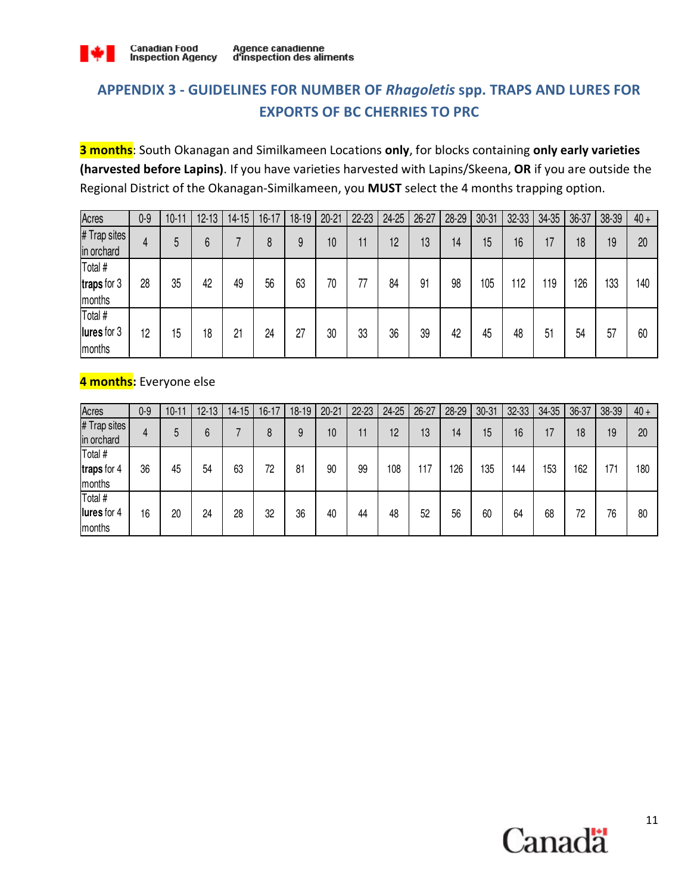

## **APPENDIX 3 - GUIDELINES FOR NUMBER OF** *Rhagoletis* **spp. TRAPS AND LURES FOR EXPORTS OF BC CHERRIES TO PRC**

**3 months**: South Okanagan and Similkameen Locations **only**, for blocks containing **only early varieties (harvested before Lapins)**. If you have varieties harvested with Lapins/Skeena, **OR** if you are outside the Regional District of the Okanagan-Similkameen, you **MUST** select the 4 months trapping option.

| Acres                            | $0-9$ | $10 - 11$ | $12 - 13$ | $14 - 15$ | $16 - 17$ | 18-19 | $20 - 21$ | $22 - 23$ | 24-25 | $26 - 27$ | 28-29 | $30 - 31$ | 32-33 | 34-35 | 36-37 | 38-39 | $40 +$ |
|----------------------------------|-------|-----------|-----------|-----------|-----------|-------|-----------|-----------|-------|-----------|-------|-----------|-------|-------|-------|-------|--------|
| # Trap sites<br>in orchard       | 4     | 5         | 6         |           | 8         | 9     | 10        | 11        | 12    | 13        | 14    | 15        | 16    | 17    | 18    | 19    | 20     |
| Total #<br>traps for 3<br>months | 28    | 35        | 42        | 49        | 56        | 63    | 70        | 77        | 84    | 91        | 98    | 105       | 112   | 119   | 126   | 133   | 140    |
| Total #<br>lures for 3<br>months | 12    | 15        | 18        | 21        | 24        | 27    | 30        | 33        | 36    | 39        | 42    | 45        | 48    | 51    | 54    | 57    | 60     |

#### **4 months:** Everyone else

| Acres                            | 0-9 | $10 - 11$ | $12 - 13$ | $14 - 15$ | $16 - 17$ | $18 - 19$ | $20 - 21$ | $22 - 23$ | 24-25 | $26 - 27$ | 28-29 | $30 - 31$ | 32-33 | 34-35 | 36-37 | 38-39 | $40 +$ |
|----------------------------------|-----|-----------|-----------|-----------|-----------|-----------|-----------|-----------|-------|-----------|-------|-----------|-------|-------|-------|-------|--------|
| # Trap sites  <br>in orchard     | 4   | 5         | 6         |           | 8         | 9         | 10        | 11        | 12    | 13        | 14    | 15        | 16    | 17    | 18    | 19    | 20     |
| Total #<br>traps for 4<br>months | 36  | 45        | 54        | 63        | 72        | 81        | 90        | 99        | 108   | 117       | 126   | 135       | 144   | 153   | 162   | 171   | 180    |
| Total #<br>lures for 4<br>months | 16  | 20        | 24        | 28        | 32        | 36        | 40        | 44        | 48    | 52        | 56    | 60        | 64    | 68    | 72    | 76    | 80     |

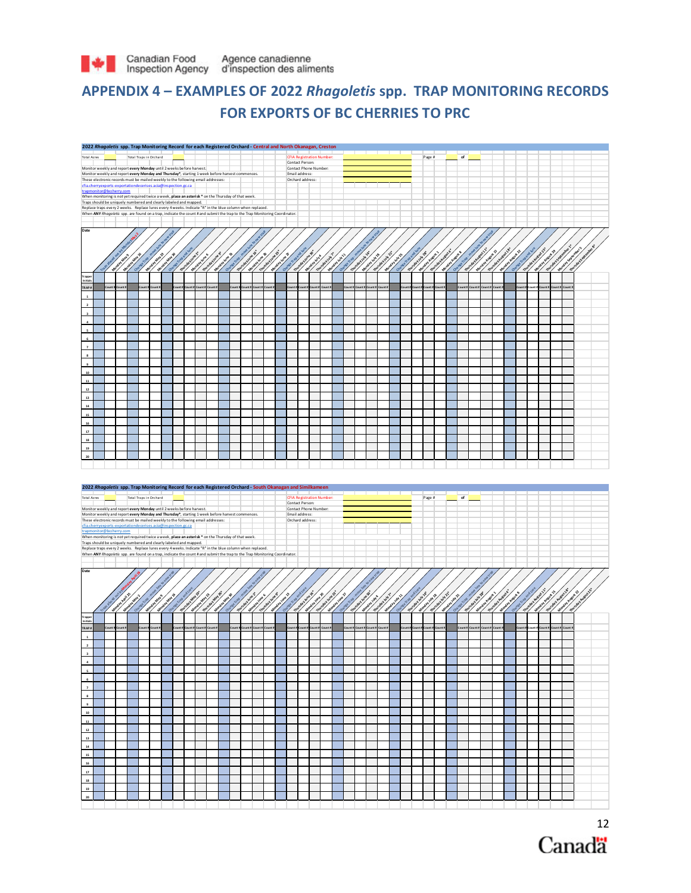

### **APPENDIX 4 – EXAMPLES OF 2022** *Rhagoletis* **spp. TRAP MONITORING RECORDS FOR EXPORTS OF BC CHERRIES TO PRC**



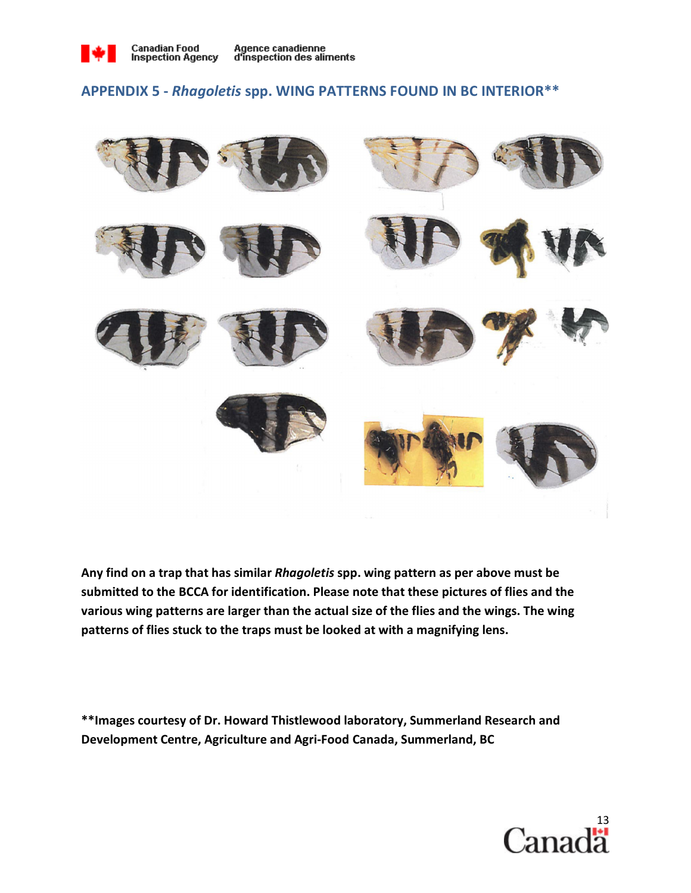

### **APPENDIX 5 -** *Rhagoletis* **spp. WING PATTERNS FOUND IN BC INTERIOR\*\***



**Any find on a trap that has similar** *Rhagoletis* **spp. wing pattern as per above must be submitted to the BCCA for identification. Please note that these pictures of flies and the various wing patterns are larger than the actual size of the flies and the wings. The wing patterns of flies stuck to the traps must be looked at with a magnifying lens.** 

**\*\*Images courtesy of Dr. Howard Thistlewood laboratory, Summerland Research and Development Centre, Agriculture and Agri-Food Canada, Summerland, BC** 

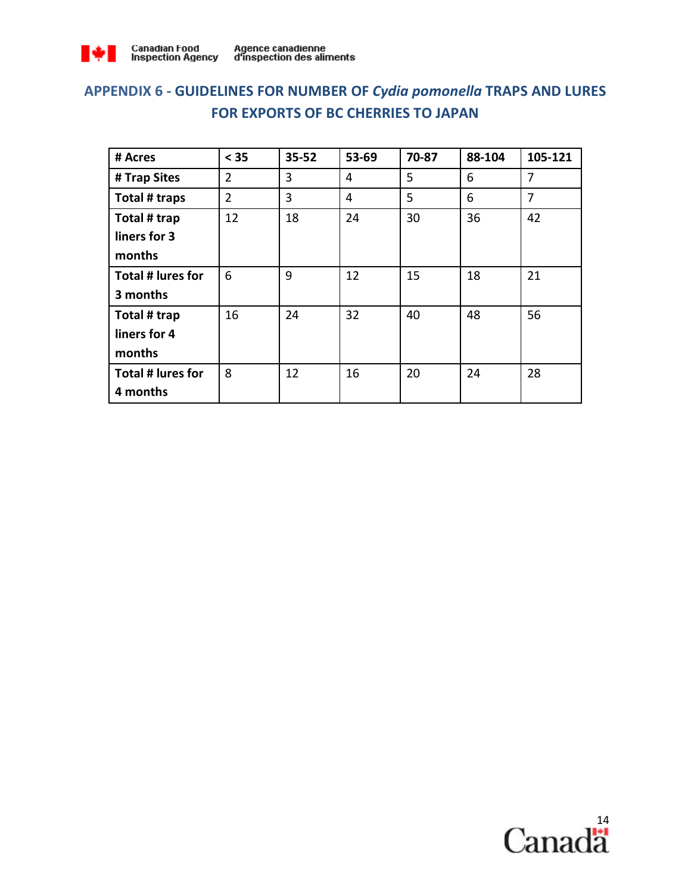

# **APPENDIX 6 - GUIDELINES FOR NUMBER OF** *Cydia pomonella* **TRAPS AND LURES FOR EXPORTS OF BC CHERRIES TO JAPAN**

| # Acres           | < 35           | $35 - 52$ | 53-69 | 70-87 | 88-104 | 105-121        |  |
|-------------------|----------------|-----------|-------|-------|--------|----------------|--|
| # Trap Sites      | $\overline{2}$ | 3         | 4     | 5     | 6      | 7              |  |
| Total # traps     | $\overline{2}$ | 3         | 4     | 5     | 6      | $\overline{7}$ |  |
| Total # trap      | 12             | 18        | 24    | 30    | 36     | 42             |  |
| liners for 3      |                |           |       |       |        |                |  |
| months            |                |           |       |       |        |                |  |
| Total # lures for | 6              | 9         | 12    | 15    | 18     | 21             |  |
| 3 months          |                |           |       |       |        |                |  |
| Total # trap      | 16             | 24        | 32    | 40    | 48     | 56             |  |
| liners for 4      |                |           |       |       |        |                |  |
| months            |                |           |       |       |        |                |  |
| Total # lures for | 8              | 12        | 16    | 20    | 24     | 28             |  |
| 4 months          |                |           |       |       |        |                |  |

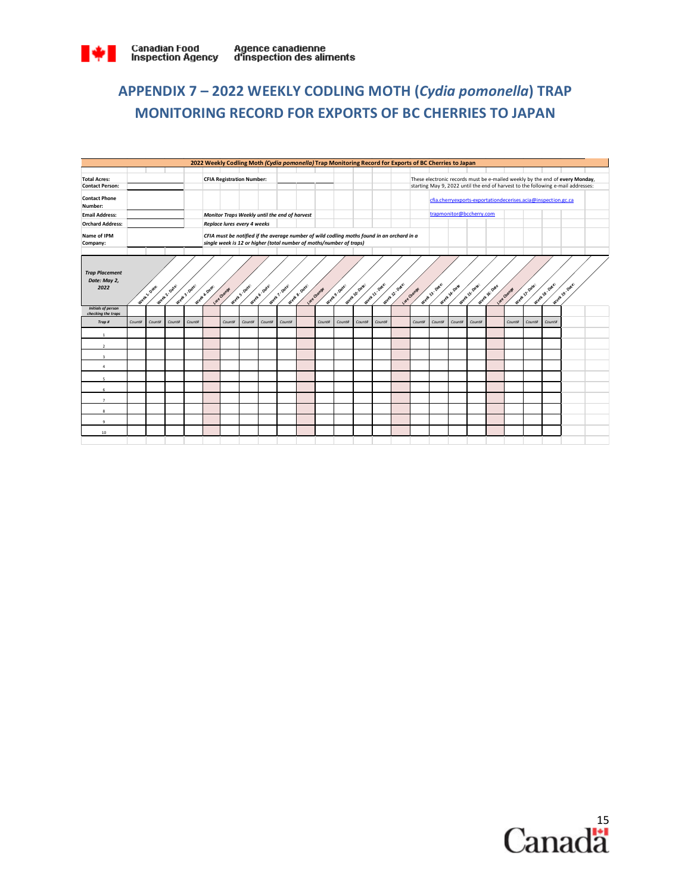

# **APPENDIX 7 – 2022 WEEKLY CODLING MOTH (***Cydia pomonella***) TRAP MONITORING RECORD FOR EXPORTS OF BC CHERRIES TO JAPAN**

|                                                 | 2022 Weekly Codling Moth (Cydia pomonella) Trap Monitoring Record for Exports of BC Cherries to Japan |                         |               |               |                                  |                             |                           |              |                                                                                                                                                                   |              |             |                         |                |                |              |             |                                                               |               |                |               |             |                |                                                                              |                                                                                  |  |
|-------------------------------------------------|-------------------------------------------------------------------------------------------------------|-------------------------|---------------|---------------|----------------------------------|-----------------------------|---------------------------|--------------|-------------------------------------------------------------------------------------------------------------------------------------------------------------------|--------------|-------------|-------------------------|----------------|----------------|--------------|-------------|---------------------------------------------------------------|---------------|----------------|---------------|-------------|----------------|------------------------------------------------------------------------------|----------------------------------------------------------------------------------|--|
|                                                 |                                                                                                       |                         |               |               |                                  |                             |                           |              |                                                                                                                                                                   |              |             |                         |                |                |              |             |                                                               |               |                |               |             |                |                                                                              |                                                                                  |  |
| <b>Total Acres:</b>                             |                                                                                                       |                         |               |               | <b>CFIA Registration Number:</b> |                             |                           |              |                                                                                                                                                                   |              |             |                         |                |                |              |             |                                                               |               |                |               |             |                | These electronic records must be e-mailed weekly by the end of every Monday, |                                                                                  |  |
| <b>Contact Person:</b>                          |                                                                                                       |                         |               |               |                                  |                             |                           |              |                                                                                                                                                                   |              |             |                         |                |                |              |             |                                                               |               |                |               |             |                |                                                                              | starting May 9, 2022 until the end of harvest to the following e-mail addresses: |  |
| <b>Contact Phone</b><br>Number:                 |                                                                                                       |                         |               |               |                                  |                             |                           |              |                                                                                                                                                                   |              |             |                         |                |                |              |             | cfia.cherryexports-exportationdecerises.acia@inspection.gc.ca |               |                |               |             |                |                                                                              |                                                                                  |  |
| <b>Email Address:</b>                           |                                                                                                       |                         |               |               |                                  |                             |                           |              | Monitor Traps Weekly until the end of harvest                                                                                                                     |              |             |                         |                |                |              |             | trapmonitor@bccherry.com                                      |               |                |               |             |                |                                                                              |                                                                                  |  |
| <b>Orchard Address:</b>                         |                                                                                                       |                         |               |               |                                  | Replace lures every 4 weeks |                           |              |                                                                                                                                                                   |              |             |                         |                |                |              |             |                                                               |               |                |               |             |                |                                                                              |                                                                                  |  |
| Name of IPM<br>Company:                         |                                                                                                       |                         |               |               |                                  |                             |                           |              | CFIA must be notified if the average number of wild codling moths found in an orchard in a<br>single week is 12 or higher (total number of moths/number of traps) |              |             |                         |                |                |              |             |                                                               |               |                |               |             |                |                                                                              |                                                                                  |  |
|                                                 |                                                                                                       |                         |               |               |                                  |                             |                           |              |                                                                                                                                                                   |              |             |                         |                |                |              |             |                                                               |               |                |               |             |                |                                                                              |                                                                                  |  |
| <b>Trap Placement</b><br>Date: May 2,<br>2022   |                                                                                                       | Week <sup>1</sup> Oate: | Week 2. Oate: | Week 3- Date: | Week & Dote:                     | Lure Change                 | Week <sup>5</sup> , Date: | Week 6-Date: | Week 7-Date:                                                                                                                                                      | Week & Date: | Lure Change | Week <sup>9-Date:</sup> | Week 10, Date: | Week 11. Date: | Week 2. Dae. | Lure Change | Week 13, Date:                                                | Week 14, Date | Week 15: Date: | Week 16: Date | Lure Change | Week 17, Date: | Week 18, Date:                                                               | Week 19. Date:                                                                   |  |
| <b>Initials of person</b><br>checking the traps |                                                                                                       |                         |               |               |                                  |                             |                           |              |                                                                                                                                                                   |              |             |                         |                |                |              |             |                                                               |               |                |               |             |                |                                                                              |                                                                                  |  |
| Trap#                                           | Count#                                                                                                | Count#                  | Count#        | Count#        |                                  | Count#                      | Count#                    | Count#       | Count#                                                                                                                                                            |              | Count#      | Count#                  | Count#         | Count#         |              | Count#      | Count#                                                        | Count#        | Count#         |               | Count#      | Count#         | Count#                                                                       |                                                                                  |  |
| $\mathbf{1}$                                    |                                                                                                       |                         |               |               |                                  |                             |                           |              |                                                                                                                                                                   |              |             |                         |                |                |              |             |                                                               |               |                |               |             |                |                                                                              |                                                                                  |  |
| $\overline{2}$                                  |                                                                                                       |                         |               |               |                                  |                             |                           |              |                                                                                                                                                                   |              |             |                         |                |                |              |             |                                                               |               |                |               |             |                |                                                                              |                                                                                  |  |
| $\overline{\mathbf{3}}$                         |                                                                                                       |                         |               |               |                                  |                             |                           |              |                                                                                                                                                                   |              |             |                         |                |                |              |             |                                                               |               |                |               |             |                |                                                                              |                                                                                  |  |
| $\mathbf{A}$                                    |                                                                                                       |                         |               |               |                                  |                             |                           |              |                                                                                                                                                                   |              |             |                         |                |                |              |             |                                                               |               |                |               |             |                |                                                                              |                                                                                  |  |
| ×,                                              |                                                                                                       |                         |               |               |                                  |                             |                           |              |                                                                                                                                                                   |              |             |                         |                |                |              |             |                                                               |               |                |               |             |                |                                                                              |                                                                                  |  |
| 6                                               |                                                                                                       |                         |               |               |                                  |                             |                           |              |                                                                                                                                                                   |              |             |                         |                |                |              |             |                                                               |               |                |               |             |                |                                                                              |                                                                                  |  |
| $\overline{z}$                                  |                                                                                                       |                         |               |               |                                  |                             |                           |              |                                                                                                                                                                   |              |             |                         |                |                |              |             |                                                               |               |                |               |             |                |                                                                              |                                                                                  |  |
| $\mathbf{R}$                                    |                                                                                                       |                         |               |               |                                  |                             |                           |              |                                                                                                                                                                   |              |             |                         |                |                |              |             |                                                               |               |                |               |             |                |                                                                              |                                                                                  |  |
| $\mathsf q$                                     |                                                                                                       |                         |               |               |                                  |                             |                           |              |                                                                                                                                                                   |              |             |                         |                |                |              |             |                                                               |               |                |               |             |                |                                                                              |                                                                                  |  |
| 10                                              |                                                                                                       |                         |               |               |                                  |                             |                           |              |                                                                                                                                                                   |              |             |                         |                |                |              |             |                                                               |               |                |               |             |                |                                                                              |                                                                                  |  |
|                                                 |                                                                                                       |                         |               |               |                                  |                             |                           |              |                                                                                                                                                                   |              |             |                         |                |                |              |             |                                                               |               |                |               |             |                |                                                                              |                                                                                  |  |